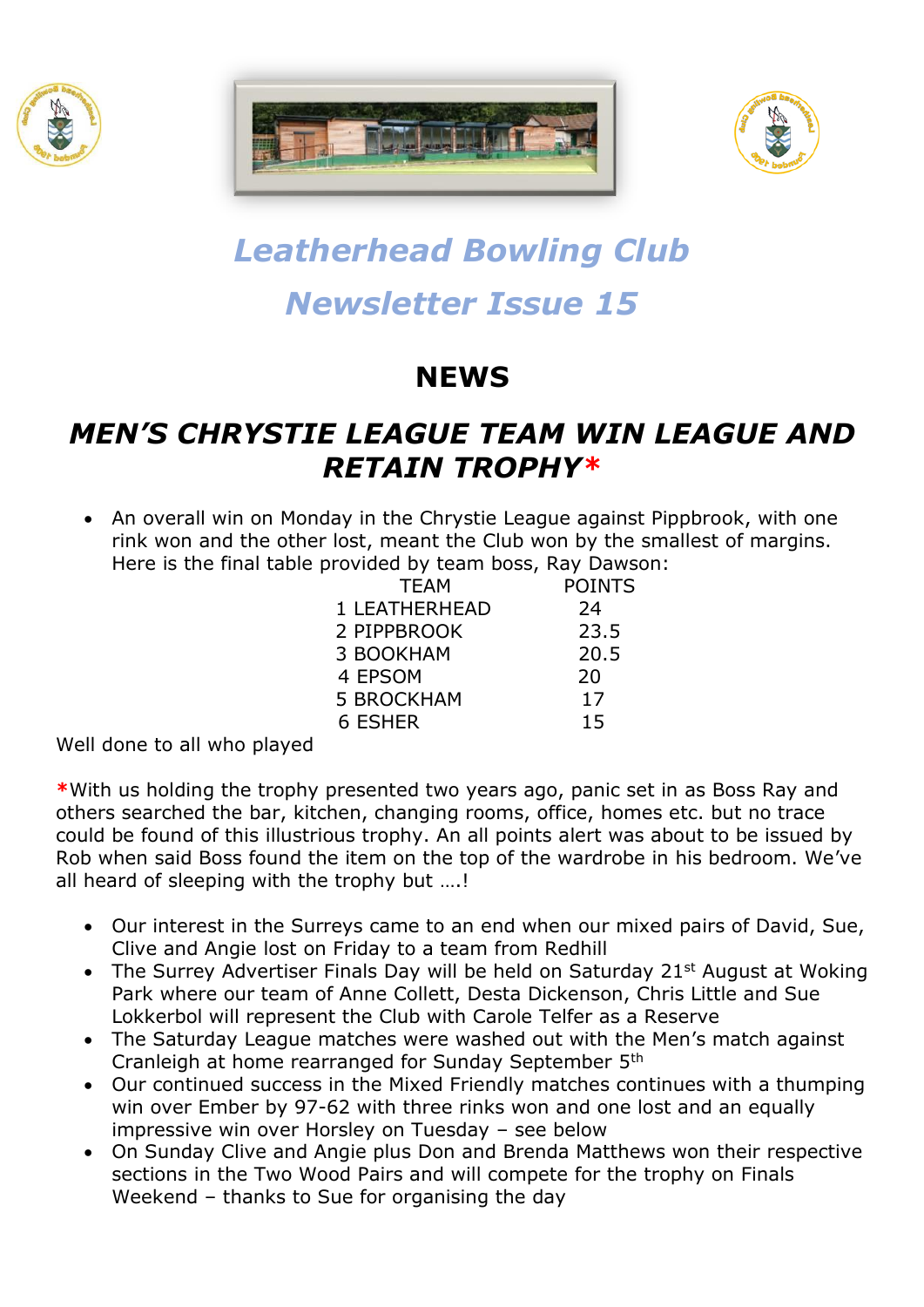





# *Leatherhead Bowling Club Newsletter Issue 15*

# **NEWS**

## *MEN'S CHRYSTIE LEAGUE TEAM WIN LEAGUE AND RETAIN TROPHY\**

• An overall win on Monday in the Chrystie League against Pippbrook, with one rink won and the other lost, meant the Club won by the smallest of margins. Here is the final table provided by team boss, Ray Dawson:

|  | <b>TEAM</b>   | <b>POINTS</b> |
|--|---------------|---------------|
|  | 1 LEATHERHEAD | 24            |
|  | 2 PIPPBROOK   | 23.5          |
|  | 3 BOOKHAM     | 20.5          |
|  | 4 EPSOM       | 20            |
|  | 5 BROCKHAM    | 17            |
|  | 6 ESHER       | 15            |
|  |               |               |

Well done to all who played

**\***With us holding the trophy presented two years ago, panic set in as Boss Ray and others searched the bar, kitchen, changing rooms, office, homes etc. but no trace could be found of this illustrious trophy. An all points alert was about to be issued by Rob when said Boss found the item on the top of the wardrobe in his bedroom. We've all heard of sleeping with the trophy but ….!

- Our interest in the Surreys came to an end when our mixed pairs of David, Sue, Clive and Angie lost on Friday to a team from Redhill
- The Surrey Advertiser Finals Day will be held on Saturday 21<sup>st</sup> August at Woking Park where our team of Anne Collett, Desta Dickenson, Chris Little and Sue Lokkerbol will represent the Club with Carole Telfer as a Reserve
- The Saturday League matches were washed out with the Men's match against Cranleigh at home rearranged for Sunday September 5th
- Our continued success in the Mixed Friendly matches continues with a thumping win over Ember by 97-62 with three rinks won and one lost and an equally impressive win over Horsley on Tuesday – see below
- On Sunday Clive and Angie plus Don and Brenda Matthews won their respective sections in the Two Wood Pairs and will compete for the trophy on Finals Weekend – thanks to Sue for organising the day